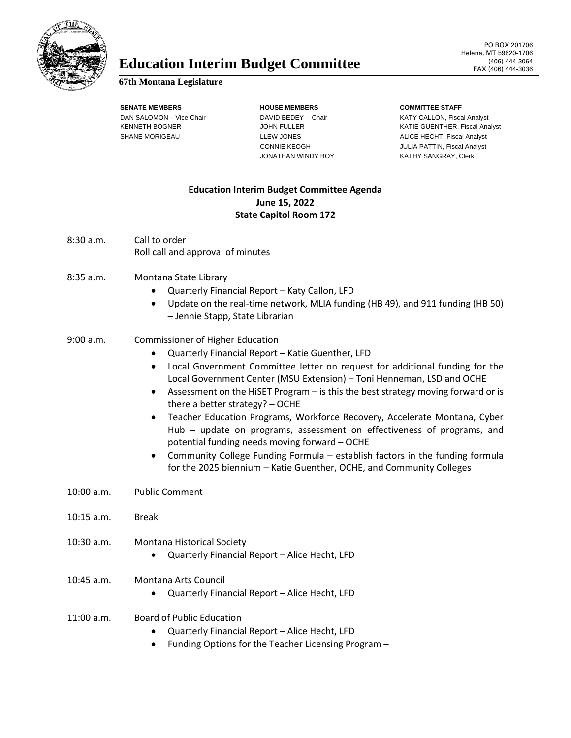

## Education Interim Budget Committee **FAX** (406) 444-3064

## **67th Montana Legislature**

**SENATE MEMBERS HOUSE MEMBERS COMMITTEE STAFF**

JONATHAN WINDY BOY KATHY SANGRAY, Clerk

DAN SALOMON – Vice Chair **DAVID BEDEY -- Chair** Chair KATY CALLON, Fiscal Analyst KENNETH BOGNER GUENTHER, Fiscal Analyst JOHN FULLER GUENTHER, Fiscal Analyst SHANE MORIGEAU **Report CONTAINS ALICE HECHT, Fiscal Analyst** ALICE HECHT, Fiscal Analyst CONNIE KEOGH JULIA PATTIN, Fiscal Analyst

## **Education Interim Budget Committee Agenda June 15, 2022 State Capitol Room 172**

- 8:30 a.m. Call to order Roll call and approval of minutes
- 8:35 a.m. Montana State Library
	- Quarterly Financial Report Katy Callon, LFD
	- Update on the real-time network, MLIA funding (HB 49), and 911 funding (HB 50) – Jennie Stapp, State Librarian
- 9:00 a.m. Commissioner of Higher Education
	- Quarterly Financial Report Katie Guenther, LFD
	- Local Government Committee letter on request for additional funding for the Local Government Center (MSU Extension) – Toni Henneman, LSD and OCHE
	- Assessment on the HiSET Program is this the best strategy moving forward or is there a better strategy? – OCHE
	- Teacher Education Programs, Workforce Recovery, Accelerate Montana, Cyber Hub – update on programs, assessment on effectiveness of programs, and potential funding needs moving forward – OCHE
	- Community College Funding Formula establish factors in the funding formula for the 2025 biennium – Katie Guenther, OCHE, and Community Colleges
- 10:00 a.m. Public Comment
- 10:15 a.m. Break
- 10:30 a.m. Montana Historical Society
	- Quarterly Financial Report Alice Hecht, LFD
- 10:45 a.m. Montana Arts Council
	- Quarterly Financial Report Alice Hecht, LFD
- 11:00 a.m. Board of Public Education
	- Quarterly Financial Report Alice Hecht, LFD
	- Funding Options for the Teacher Licensing Program –